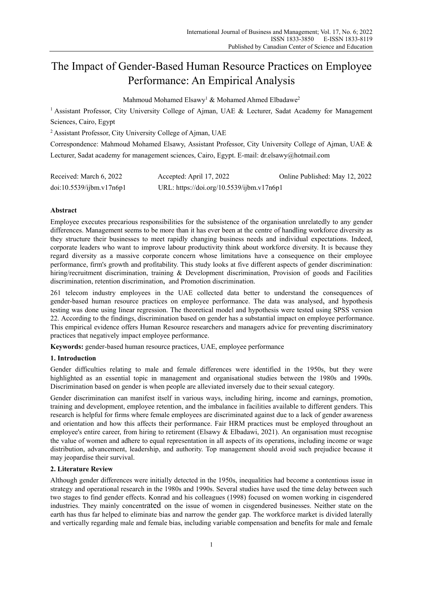# The Impact of Gender-Based Human Resource Practices on Employee Performance: An Empirical Analysis

Mahmoud Mohamed Elsawy<sup>1</sup> & Mohamed Ahmed Elbadawe<sup>2</sup>

<sup>1</sup> Assistant Professor, City University College of Ajman, UAE & Lecturer, Sadat Academy for Management Sciences, Cairo, Egypt

2 Assistant Professor, City University College of Ajman, UAE

Correspondence: Mahmoud Mohamed Elsawy, Assistant Professor, City University College of Ajman, UAE & Lecturer, Sadat academy for management sciences, Cairo, Egypt. E-mail: dr.elsawy@hotmail.com

| Received: March 6, 2022  | Accepted: April 17, 2022                  | Online Published: May 12, 2022 |
|--------------------------|-------------------------------------------|--------------------------------|
| doi:10.5539/ijbm.v17n6p1 | URL: https://doi.org/10.5539/ijbm.v17n6p1 |                                |

# **Abstract**

Employee executes precarious responsibilities for the subsistence of the organisation unrelatedly to any gender differences. Management seems to be more than it has ever been at the centre of handling workforce diversity as they structure their businesses to meet rapidly changing business needs and individual expectations. Indeed, corporate leaders who want to improve labour productivity think about workforce diversity. It is because they regard diversity as a massive corporate concern whose limitations have a consequence on their employee performance, firm's growth and profitability. This study looks at five different aspects of gender discrimination: hiring/recruitment discrimination, training & Development discrimination, Provision of goods and Facilities discrimination, retention discrimination, and Promotion discrimination.

261 telecom industry employees in the UAE collected data better to understand the consequences of gender-based human resource practices on employee performance. The data was analysed, and hypothesis testing was done using linear regression. The theoretical model and hypothesis were tested using SPSS version 22. According to the findings, discrimination based on gender has a substantial impact on employee performance. This empirical evidence offers Human Resource researchers and managers advice for preventing discriminatory practices that negatively impact employee performance.

**Keywords:** gender-based human resource practices, UAE, employee performance

# **1. Introduction**

Gender difficulties relating to male and female differences were identified in the 1950s, but they were highlighted as an essential topic in management and organisational studies between the 1980s and 1990s. Discrimination based on gender is when people are alleviated inversely due to their sexual category.

Gender discrimination can manifest itself in various ways, including hiring, income and earnings, promotion, training and development, employee retention, and the imbalance in facilities available to different genders. This research is helpful for firms where female employees are discriminated against due to a lack of gender awareness and orientation and how this affects their performance. Fair HRM practices must be employed throughout an employee's entire career, from hiring to retirement (Elsawy & Elbadawi, 2021). An organisation must recognise the value of women and adhere to equal representation in all aspects of its operations, including income or wage distribution, advancement, leadership, and authority. Top management should avoid such prejudice because it may jeopardise their survival.

# **2. Literature Review**

Although gender differences were initially detected in the 1950s, inequalities had become a contentious issue in strategy and operational research in the 1980s and 1990s. Several studies have used the time delay between such two stages to find gender effects. Konrad and his colleagues (1998) focused on women working in cisgendered industries. They mainly concentrated on the issue of women in cisgendered businesses. Neither state on the earth has thus far helped to eliminate bias and narrow the gender gap. The workforce market is divided laterally and vertically regarding male and female bias, including variable compensation and benefits for male and female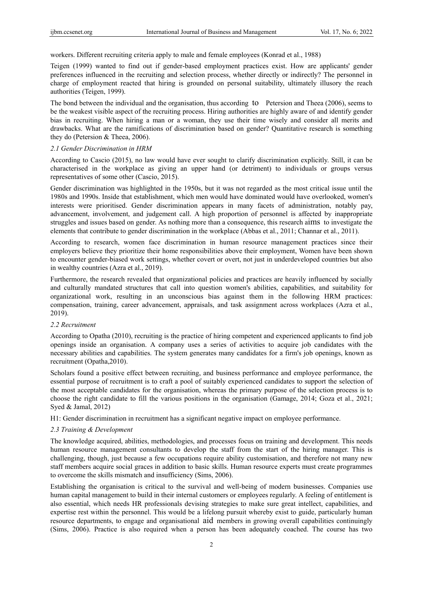workers. Different recruiting criteria apply to male and female employees (Konrad et al., 1988)

Teigen (1999) wanted to find out if gender-based employment practices exist. How are applicants' gender preferences influenced in the recruiting and selection process, whether directly or indirectly? The personnel in charge of employment reacted that hiring is grounded on personal suitability, ultimately illusory the reach authorities (Teigen, 1999).

The bond between the individual and the organisation, thus according to Petersion and Theea (2006), seems to be the weakest visible aspect of the recruiting process. Hiring authorities are highly aware of and identify gender bias in recruiting. When hiring a man or a woman, they use their time wisely and consider all merits and drawbacks. What are the ramifications of discrimination based on gender? Quantitative research is something they do (Petersion & Theea, 2006).

## *2.1 Gender Discrimination in HRM*

According to Cascio (2015), no law would have ever sought to clarify discrimination explicitly. Still, it can be characterised in the workplace as giving an upper hand (or detriment) to individuals or groups versus representatives of some other (Cascio, 2015).

Gender discrimination was highlighted in the 1950s, but it was not regarded as the most critical issue until the 1980s and 1990s. Inside that establishment, which men would have dominated would have overlooked, women's interests were prioritised. Gender discrimination appears in many facets of administration, notably pay, advancement, involvement, and judgement call. A high proportion of personnel is affected by inappropriate struggles and issues based on gender. As nothing more than a consequence, this research aims to investigate the elements that contribute to gender discrimination in the workplace (Abbas et al., 2011; Channar et al., 2011).

According to research, women face discrimination in human resource management practices since their employers believe they prioritize their home responsibilities above their employment, Women have been shown to encounter gender-biased work settings, whether covert or overt, not just in underdeveloped countries but also in wealthy countries (Azra et al., 2019).

Furthermore, the research revealed that organizational policies and practices are heavily influenced by socially and culturally mandated structures that call into question women's abilities, capabilities, and suitability for organizational work, resulting in an unconscious bias against them in the following HRM practices: compensation, training, career advancement, appraisals, and task assignment across workplaces (Azra et al., 2019).

## *2.2 Recruitment*

According to Opatha (2010), recruiting is the practice of hiring competent and experienced applicants to find job openings inside an organisation. A company uses a series of activities to acquire job candidates with the necessary abilities and capabilities. The system generates many candidates for a firm's job openings, known as recruitment (Opatha,2010).

Scholars found a positive effect between recruiting, and business performance and employee performance, the essential purpose of recruitment is to craft a pool of suitably experienced candidates to support the selection of the most acceptable candidates for the organisation, whereas the primary purpose of the selection process is to choose the right candidate to fill the various positions in the organisation (Gamage, 2014; Goza et al., 2021; Syed & Jamal, 2012)

H1: Gender discrimination in recruitment has a significant negative impact on employee performance.

## *2.3 Training & Development*

The knowledge acquired, abilities, methodologies, and processes focus on training and development. This needs human resource management consultants to develop the staff from the start of the hiring manager. This is challenging, though, just because a few occupations require ability customisation, and therefore not many new staff members acquire social graces in addition to basic skills. Human resource experts must create programmes to overcome the skills mismatch and insufficiency (Sims, 2006).

Establishing the organisation is critical to the survival and well-being of modern businesses. Companies use human capital management to build in their internal customers or employees regularly. A feeling of entitlement is also essential, which needs HR professionals devising strategies to make sure great intellect, capabilities, and expertise rest within the personnel. This would be a lifelong pursuit whereby exist to guide, particularly human resource departments, to engage and organisational aid members in growing overall capabilities continuingly (Sims, 2006). Practice is also required when a person has been adequately coached. The course has two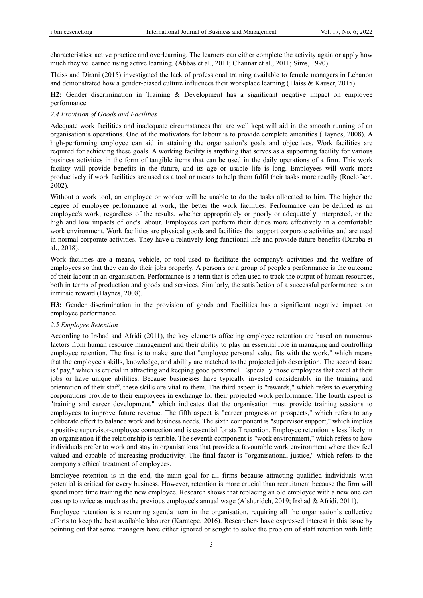characteristics: active practice and overlearning. The learners can either complete the activity again or apply how much they've learned using active learning. (Abbas et al., 2011; Channar et al., 2011; Sims, 1990).

Tlaiss and Dirani (2015) investigated the lack of professional training available to female managers in Lebanon and demonstrated how a gender-biased culture influences their workplace learning (Tlaiss & Kauser, 2015).

**H2:** Gender discrimination in Training & Development has a significant negative impact on employee performance

## *2.4 Provision of Goods and Facilities*

Adequate work facilities and inadequate circumstances that are well kept will aid in the smooth running of an organisation's operations. One of the motivators for labour is to provide complete amenities (Haynes, 2008). A high-performing employee can aid in attaining the organisation's goals and objectives. Work facilities are required for achieving these goals. A working facility is anything that serves as a supporting facility for various business activities in the form of tangible items that can be used in the daily operations of a firm. This work facility will provide benefits in the future, and its age or usable life is long. Employees will work more productively if work facilities are used as a tool or means to help them fulfil their tasks more readily (Roelofsen, 2002).

Without a work tool, an employee or worker will be unable to do the tasks allocated to him. The higher the degree of employee performance at work, the better the work facilities. Performance can be defined as an employee's work, regardless of the results, whether appropriately or poorly or adequately interpreted, or the high and low impacts of one's labour. Employees can perform their duties more effectively in a comfortable work environment. Work facilities are physical goods and facilities that support corporate activities and are used in normal corporate activities. They have a relatively long functional life and provide future benefits (Daraba et al., 2018).

Work facilities are a means, vehicle, or tool used to facilitate the company's activities and the welfare of employees so that they can do their jobs properly. A person's or a group of people's performance is the outcome of their labour in an organisation. Performance is a term that is often used to track the output of human resources, both in terms of production and goods and services. Similarly, the satisfaction of a successful performance is an intrinsic reward (Haynes, 2008).

**H3:** Gender discrimination in the provision of goods and Facilities has a significant negative impact on employee performance

## *2.5 Employee Retention*

According to Irshad and Afridi (2011), the key elements affecting employee retention are based on numerous factors from human resource management and their ability to play an essential role in managing and controlling employee retention. The first is to make sure that "employee personal value fits with the work," which means that the employee's skills, knowledge, and ability are matched to the projected job description. The second issue is "pay," which is crucial in attracting and keeping good personnel. Especially those employees that excel at their jobs or have unique abilities. Because businesses have typically invested considerably in the training and orientation of their staff, these skills are vital to them. The third aspect is "rewards," which refers to everything corporations provide to their employees in exchange for their projected work performance. The fourth aspect is "training and career development," which indicates that the organisation must provide training sessions to employees to improve future revenue. The fifth aspect is "career progression prospects," which refers to any deliberate effort to balance work and business needs. The sixth component is "supervisor support," which implies a positive supervisor-employee connection and is essential for staff retention. Employee retention is less likely in an organisation if the relationship is terrible. The seventh component is "work environment," which refers to how individuals prefer to work and stay in organisations that provide a favourable work environment where they feel valued and capable of increasing productivity. The final factor is "organisational justice," which refers to the company's ethical treatment of employees.

Employee retention is in the end, the main goal for all firms because attracting qualified individuals with potential is critical for every business. However, retention is more crucial than recruitment because the firm will spend more time training the new employee. Research shows that replacing an old employee with a new one can cost up to twice as much as the previous employee's annual wage (Alshurideh, 2019; Irshad & Afridi, 2011).

Employee retention is a recurring agenda item in the organisation, requiring all the organisation's collective efforts to keep the best available labourer (Karatepe, 2016). Researchers have expressed interest in this issue by pointing out that some managers have either ignored or sought to solve the problem of staff retention with little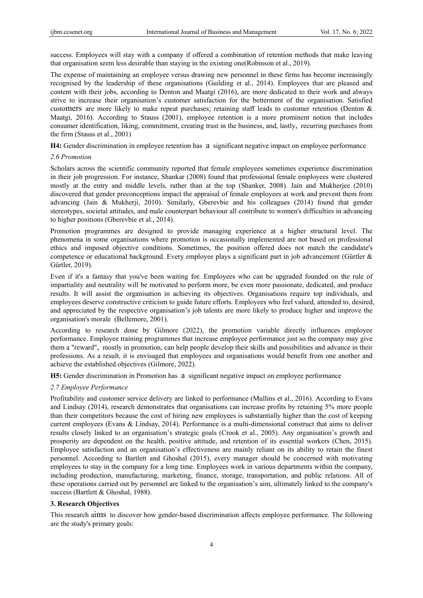success. Employees will stay with a company if offered a combination of retention methods that make leaving that organisation seem less desirable than staying in the existing one(Robinson et al., 2019).

The expense of maintaining an employee versus drawing new personnel in these firms has become increasingly recognised by the leadership of these organisations (Guilding et al., 2014). Employees that are pleased and content with their jobs, according to Denton and Maatgi (2016), are more dedicated to their work and always strive to increase their organisation's customer satisfaction for the betterment of the organisation. Satisfied customers are more likely to make repeat purchases; retaining staff leads to customer retention (Denton & Maatgi, 2016). According to Stauss (2001), employee retention is a more prominent notion that includes consumer identification, liking, commitment, creating trust in the business, and, lastly, recurring purchases from the firm (Stauss et al., 2001)

**H4:** Gender discrimination in employee retention has a significant negative impact on employee performance

#### *2.6 Promotion*

Scholars across the scientific community reported that female employees sometimes experience discrimination in their job progression. For instance, Shankar (2008) found that professional female employees were clustered mostly at the entry and middle levels, rather than at the top (Shanker, 2008). Jain and Mukherjee (2010) discovered that gender preconceptions impact the appraisal of female employees at work and prevent them from advancing (Jain & Mukherji, 2010). Similarly, Gberevbie and his colleagues (2014) found that gender stereotypes, societal attitudes, and male counterpart behaviour all contribute to women's difficulties in advancing to higher positions (Gberevbie et al., 2014).

Promotion programmes are designed to provide managing experience at a higher structural level. The phenomena in some organisations where promotion is occasionally implemented are not based on professional ethics and imposed objective conditions. Sometimes, the position offered does not match the candidate's competence or educational background. Every employee plays a significant part in job advancement (Gürtler & Gürtler, 2019).

Even if it's a fantasy that you've been waiting for. Employees who can be upgraded founded on the rule of impartiality and neutrality will be motivated to perform more, be even more passionate, dedicated, and produce results. It will assist the organisation in achieving its objectives. Organisations require top individuals, and employees deserve constructive criticism to guide future efforts. Employees who feel valued, attended to, desired, and appreciated by the respective organisation's job talents are more likely to produce higher and improve the organisation's morale (Bellemore, 2001).

According to research done by Gilmore (2022), the promotion variable directly influences employee performance. Employee training programmes that increase employee performance just so the company may give them a "reward", mostly in promotion, can help people develop their skills and possibilities and advance in their professions. As a result, it is envisaged that employees and organisations would benefit from one another and achieve the established objectives (Gilmore, 2022).

**H5:** Gender discrimination in Promotion has a significant negative impact on employee performance

# *2.7 Employee Performance*

Profitability and customer service delivery are linked to performance (Mullins et al., 2016). According to Evans and Lindsay (2014), research demonstrates that organisations can increase profits by retaining 5% more people than their competitors because the cost of hiring new employees is substantially higher than the cost of keeping current employees (Evans & Lindsay, 2014). Performance is a multi-dimensional construct that aims to deliver results closely linked to an organisation's strategic goals (Crook et al., 2005). Any organisation's growth and prosperity are dependent on the health, positive attitude, and retention of its essential workers (Chen, 2015). Employee satisfaction and an organisation's effectiveness are mainly reliant on its ability to retain the finest personnel. According to Bartlett and Ghoshal (2015), every manager should be concerned with motivating employees to stay in the company for a long time. Employees work in various departments within the company, including production, manufacturing, marketing, finance, storage, transportation, and public relations. All of these operations carried out by personnel are linked to the organisation's aim, ultimately linked to the company's success (Bartlett & Ghoshal, 1988).

# **3. Research Objectives**

This research aims to discover how gender-based discrimination affects employee performance. The following are the study's primary goals: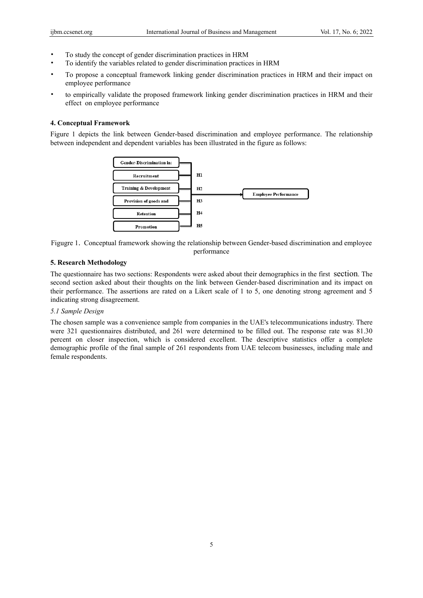- To study the concept of gender discrimination practices in HRM
- To identify the variables related to gender discrimination practices in HRM
- To propose a conceptual framework linking gender discrimination practices in HRM and their impact on employee performance
- to empirically validate the proposed framework linking gender discrimination practices in HRM and their effect on employee performance

# **4. Conceptual Framework**

Figure 1 depicts the link between Gender-based discrimination and employee performance. The relationship between independent and dependent variables has been illustrated in the figure as follows:





# **5. Research Methodology**

The questionnaire has two sections: Respondents were asked about their demographics in the first section. The second section asked about their thoughts on the link between Gender-based discrimination and its impact on their performance. The assertions are rated on a Likert scale of 1 to 5, one denoting strong agreement and 5 indicating strong disagreement.

# *5.1 Sample Design*

The chosen sample was a convenience sample from companies in the UAE's telecommunications industry. There were 321 questionnaires distributed, and 261 were determined to be filled out. The response rate was 81.30 percent on closer inspection, which is considered excellent. The descriptive statistics offer a complete demographic profile of the final sample of 261 respondents from UAE telecom businesses, including male and female respondents.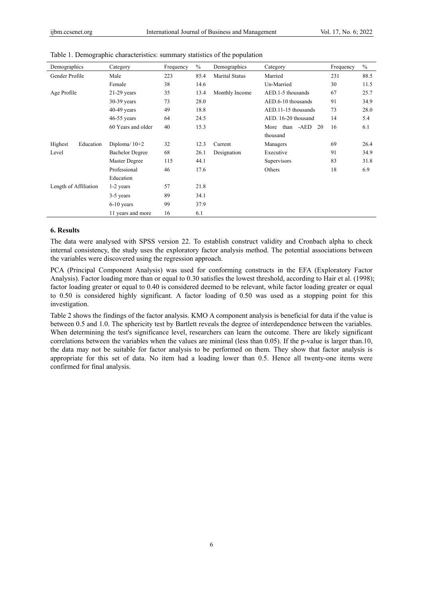| Demographics          | Category               | Frequency | $\%$ | Demographics          | Category             | Frequency | $\%$ |
|-----------------------|------------------------|-----------|------|-----------------------|----------------------|-----------|------|
| Gender Profile        | Male                   | 223       | 85.4 | <b>Marital Status</b> | Married              | 231       | 88.5 |
|                       | Female                 | 38        | 14.6 |                       | Un-Married           | 30        | 11.5 |
| Age Profile           | $21-29$ years          | 35        | 13.4 | Monthly Income        | AED.1-5 thousands    | 67        | 25.7 |
|                       | $30-39$ years          | 73        | 28.0 |                       | AED.6-10 thousands   | 91        | 34.9 |
|                       | $40-49$ years          | 49        | 18.8 |                       | AED.11-15 thousands  | 73        | 28.0 |
|                       | $46-55$ years          | 64        | 24.5 |                       | AED. 16-20 thousand  | 14        | 5.4  |
|                       | 60 Years and older     | 40        | 15.3 |                       | More than -AED<br>20 | 16        | 6.1  |
|                       |                        |           |      |                       | thousand             |           |      |
| Highest<br>Education  | Diploma/ $10+2$        | 32        | 12.3 | Current               | Managers             | 69        | 26.4 |
| Level                 | <b>Bachelor Degree</b> | 68        | 26.1 | Designation           | Executive            | 91        | 34.9 |
|                       | Master Degree          | 115       | 44.1 |                       | Supervisors          | 83        | 31.8 |
|                       | Professional           | 46        | 17.6 |                       | Others               | 18        | 6.9  |
|                       | Education              |           |      |                       |                      |           |      |
| Length of Affiliation | 1-2 years              | 57        | 21.8 |                       |                      |           |      |
|                       | 3-5 years              | 89        | 34.1 |                       |                      |           |      |
|                       | $6-10$ years           | 99        | 37.9 |                       |                      |           |      |
|                       | 11 years and more      | 16        | 6.1  |                       |                      |           |      |

Table 1. Demographic characteristics: summary statistics of the population

# **6. Results**

The data were analysed with SPSS version 22. To establish construct validity and Cronbach alpha to check internal consistency, the study uses the exploratory factor analysis method. The potential associations between the variables were discovered using the regression approach.

PCA (Principal Component Analysis) was used for conforming constructs in the EFA (Exploratory Factor Analysis). Factor loading more than or equal to 0.30 satisfies the lowest threshold, according to Hair et al. (1998); factor loading greater or equal to 0.40 is considered deemed to be relevant, while factor loading greater or equal to 0.50 is considered highly significant. A factor loading of 0.50 was used as a stopping point for this investigation.

Table 2 shows the findings of the factor analysis. KMO A component analysis is beneficial for data if the value is between 0.5 and 1.0. The sphericity test by Bartlett reveals the degree of interdependence between the variables. When determining the test's significance level, researchers can learn the outcome. There are likely significant correlations between the variables when the values are minimal (less than 0.05). If the p-value is larger than.10, the data may not be suitable for factor analysis to be performed on them. They show that factor analysis is appropriate for this set of data. No item had a loading lower than 0.5. Hence all twenty-one items were confirmed for final analysis.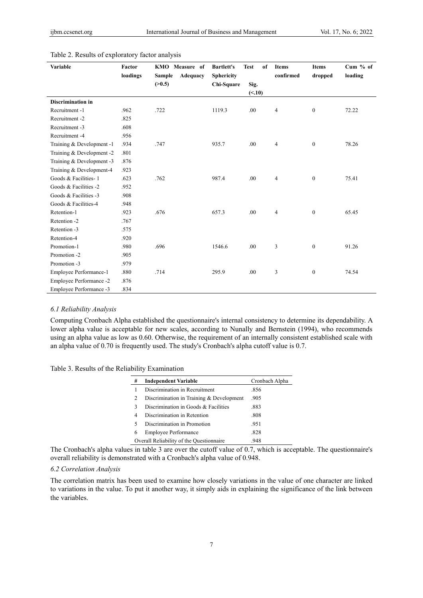| Variable                  | Factor<br>loadings | <b>KMO</b> Measure of<br><b>Sample</b><br>Adequacy<br>(>0.5) | <b>Bartlett's</b><br><b>Sphericity</b><br>Chi-Square | of<br><b>Test</b><br>Sig. | <b>Items</b><br>confirmed | <b>Items</b><br>dropped | Cum % of<br>loading |
|---------------------------|--------------------|--------------------------------------------------------------|------------------------------------------------------|---------------------------|---------------------------|-------------------------|---------------------|
|                           |                    |                                                              |                                                      | (< 10)                    |                           |                         |                     |
| <b>Discrimination in</b>  |                    |                                                              |                                                      |                           |                           |                         |                     |
| Recruitment -1            | .962               | .722                                                         | 1119.3                                               | .00                       | 4                         | $\boldsymbol{0}$        | 72.22               |
| Recruitment -2            | .825               |                                                              |                                                      |                           |                           |                         |                     |
| Recruitment -3            | .608               |                                                              |                                                      |                           |                           |                         |                     |
| Recruitment -4            | .956               |                                                              |                                                      |                           |                           |                         |                     |
| Training & Development -1 | .934               | .747                                                         | 935.7                                                | .00                       | $\overline{4}$            | $\mathbf{0}$            | 78.26               |
| Training & Development -2 | .801               |                                                              |                                                      |                           |                           |                         |                     |
| Training & Development -3 | .876               |                                                              |                                                      |                           |                           |                         |                     |
| Training & Development-4  | .923               |                                                              |                                                      |                           |                           |                         |                     |
| Goods & Facilities-1      | .623               | .762                                                         | 987.4                                                | .00                       | 4                         | $\boldsymbol{0}$        | 75.41               |
| Goods & Facilities -2     | .952               |                                                              |                                                      |                           |                           |                         |                     |
| Goods & Facilities -3     | .908               |                                                              |                                                      |                           |                           |                         |                     |
| Goods & Facilities-4      | .948               |                                                              |                                                      |                           |                           |                         |                     |
| Retention-1               | .923               | .676                                                         | 657.3                                                | .00                       | $\overline{4}$            | $\boldsymbol{0}$        | 65.45               |
| Retention -2              | .767               |                                                              |                                                      |                           |                           |                         |                     |
| Retention -3              | .575               |                                                              |                                                      |                           |                           |                         |                     |
| Retention-4               | .920               |                                                              |                                                      |                           |                           |                         |                     |
| Promotion-1               | .980               | .696                                                         | 1546.6                                               | .00                       | 3                         | $\boldsymbol{0}$        | 91.26               |
| Promotion -2              | .905               |                                                              |                                                      |                           |                           |                         |                     |
| Promotion -3              | .979               |                                                              |                                                      |                           |                           |                         |                     |
| Employee Performance-1    | .880               | .714                                                         | 295.9                                                | .00                       | 3                         | $\mathbf{0}$            | 74.54               |
| Employee Performance -2   | .876               |                                                              |                                                      |                           |                           |                         |                     |
| Employee Performance -3   | .834               |                                                              |                                                      |                           |                           |                         |                     |

# Table 2. Results of exploratory factor analysis

# *6.1 Reliability Analysis*

Computing Cronbach Alpha established the questionnaire's internal consistency to determine its dependability. A lower alpha value is acceptable for new scales, according to Nunally and Bernstein (1994), who recommends using an alpha value as low as 0.60. Otherwise, the requirement of an internally consistent established scale with an alpha value of 0.70 is frequently used. The study's Cronbach's alpha cutoff value is 0.7.

|  |  | Table 3. Results of the Reliability Examination |
|--|--|-------------------------------------------------|
|  |  |                                                 |

 $\overline{a}$ 

| # | <b>Independent Variable</b>                      | Cronbach Alpha |  |  |  |  |
|---|--------------------------------------------------|----------------|--|--|--|--|
|   | Discrimination in Recruitment                    | .856           |  |  |  |  |
| 2 | Discrimination in Training & Development         | .905           |  |  |  |  |
|   | Discrimination in Goods & Facilities             | .883           |  |  |  |  |
| 4 | Discrimination in Retention                      | .808           |  |  |  |  |
|   | Discrimination in Promotion                      | .951           |  |  |  |  |
| 6 | <b>Employee Performance</b>                      | .828           |  |  |  |  |
|   | Overall Reliability of the Questionnaire<br>.948 |                |  |  |  |  |

The Cronbach's alpha values in table 3 are over the cutoff value of 0.7, which is acceptable. The questionnaire's overall reliability is demonstrated with a Cronbach's alpha value of 0.948.

#### *6.2 Correlation Analysis*

The correlation matrix has been used to examine how closely variations in the value of one character are linked to variations in the value. To put it another way, it simply aids in explaining the significance of the link between the variables.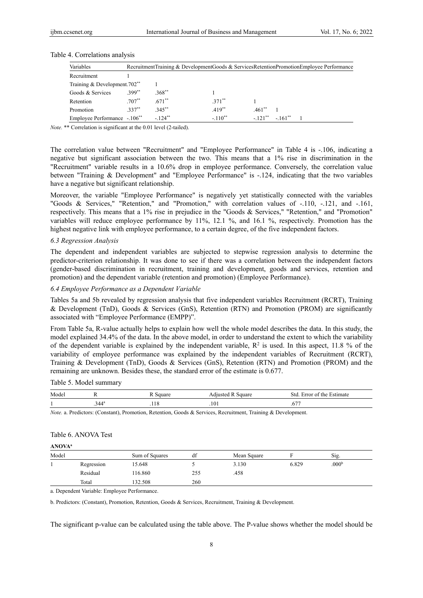| Variables                                |          |            | Recruitment Training & Development Goods & Services Retention Promotion Employee Performance |                     |          |  |
|------------------------------------------|----------|------------|----------------------------------------------------------------------------------------------|---------------------|----------|--|
| Recruitment                              |          |            |                                                                                              |                     |          |  |
| Training & Development.702 <sup>**</sup> |          |            |                                                                                              |                     |          |  |
| Goods & Services                         | $399**$  | $.368**$   |                                                                                              |                     |          |  |
| Retention                                | $.707**$ | $.671**$   | $371***$                                                                                     |                     |          |  |
| Promotion                                | $.337**$ | $.345***$  | $.419**$                                                                                     | $461$ <sup>**</sup> |          |  |
| Employee Performance -.106 <sup>**</sup> |          | $-.124***$ | $-.110**$                                                                                    | $-.121$ **          | $-161**$ |  |

#### Table 4. Correlations analysis

*Note.* \*\* Correlation is significant at the 0.01 level (2-tailed).

The correlation value between "Recruitment" and "Employee Performance" in Table 4 is -.106, indicating a negative but significant association between the two. This means that a 1% rise in discrimination in the "Recruitment" variable results in a 10.6% drop in employee performance. Conversely, the correlation value between "Training & Development" and "Employee Performance" is -.124, indicating that the two variables have a negative but significant relationship.

Moreover, the variable "Employee Performance" is negatively yet statistically connected with the variables "Goods & Services," "Retention," and "Promotion," with correlation values of -.110, -.121, and -.161, respectively. This means that a 1% rise in prejudice in the "Goods & Services," "Retention," and "Promotion" variables will reduce employee performance by 11%, 12.1 %, and 16.1 %, respectively. Promotion has the highest negative link with employee performance, to a certain degree, of the five independent factors.

### *6.3 Regression Analysis*

The dependent and independent variables are subjected to stepwise regression analysis to determine the predictor-criterion relationship. It was done to see if there was a correlation between the independent factors (gender-based discrimination in recruitment, training and development, goods and services, retention and promotion) and the dependent variable (retention and promotion) (Employee Performance).

# *6.4 Employee Performance as a Dependent Variable*

Tables 5a and 5b revealed by regression analysis that five independent variables Recruitment (RCRT), Training & Development (TnD), Goods & Services (GnS), Retention (RTN) and Promotion (PROM) are significantly associated with "Employee Performance (EMPP)".

From Table 5a, R-value actually helps to explain how well the whole model describes the data. In this study, the model explained 34.4% of the data. In the above model, in order to understand the extent to which the variability of the dependent variable is explained by the independent variable,  $\mathbb{R}^2$  is used. In this aspect, 11.8 % of the variability of employee performance was explained by the independent variables of Recruitment (RCRT), Training & Development (TnD), Goods & Services (GnS), Retention (RTN) and Promotion (PROM) and the remaining are unknown. Besides these, the standard error of the estimate is 0.677.

#### Table 5. Model summary

| Mode |                 |   |      | Stc<br>natı |
|------|-----------------|---|------|-------------|
|      | . 11a<br>$\sim$ | . | .101 | $-$<br>.∪   |

*Note.* a. Predictors: (Constant), Promotion, Retention, Goods & Services, Recruitment, Training & Development.

#### Table 6. ANOVA Test

**ANOVAa**

| Model |            | Sum of Squares | df  | Mean Square |       | Sig.              |  |
|-------|------------|----------------|-----|-------------|-------|-------------------|--|
|       | Regression | 15.648         |     | 3.130       | 6.829 | .000 <sup>b</sup> |  |
|       | Residual   | 116.860        | 255 | .458        |       |                   |  |
|       | Total      | 132.508        | 260 |             |       |                   |  |

a. Dependent Variable: Employee Performance.

b. Predictors: (Constant), Promotion, Retention, Goods & Services, Recruitment, Training & Development.

The significant p-value can be calculated using the table above. The P-value shows whether the model should be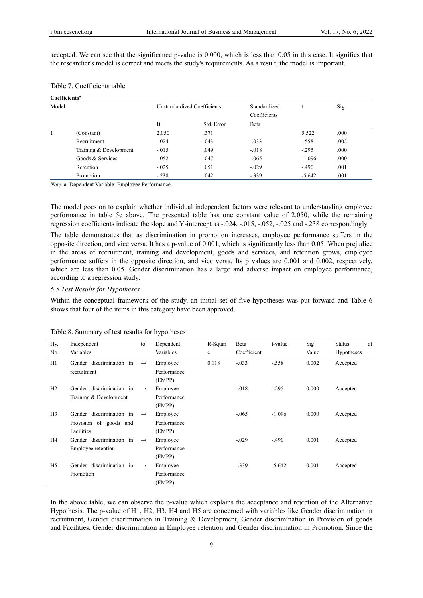accepted. We can see that the significance p-value is 0.000, which is less than 0.05 in this case. It signifies that the researcher's model is correct and meets the study's requirements. As a result, the model is important.

**Coefficientsa**

| Model |                        |         | Unstandardized Coefficients |              |          | Sig. |
|-------|------------------------|---------|-----------------------------|--------------|----------|------|
|       |                        |         |                             | Coefficients |          |      |
|       |                        | В       | Std. Error                  | Beta         |          |      |
|       | (Constant)             | 2.050   | .371                        |              | 5.522    | .000 |
|       | Recruitment            | $-.024$ | .043                        | $-.033$      | $-.558$  | .002 |
|       | Training & Development | $-.015$ | .049                        | $-.018$      | $-.295$  | .000 |
|       | Goods & Services       | $-.052$ | .047                        | $-.065$      | $-1.096$ | .000 |
|       | Retention              | $-.025$ | .051                        | $-.029$      | $-.490$  | .001 |
|       | Promotion              | $-.238$ | .042                        | $-.339$      | $-5.642$ | .001 |

*Note.* a. Dependent Variable: Employee Performance.

The model goes on to explain whether individual independent factors were relevant to understanding employee performance in table 5c above. The presented table has one constant value of 2.050, while the remaining regression coefficients indicate the slope and Y-intercept as -.024, -.015, -.052, -.025 and -.238 correspondingly.

The table demonstrates that as discrimination in promotion increases, employee performance suffers in the opposite direction, and vice versa. It has a p-value of 0.001, which is significantly less than 0.05. When prejudice in the areas of recruitment, training and development, goods and services, and retention grows, employee performance suffers in the opposite direction, and vice versa. Its p values are 0.001 and 0.002, respectively, which are less than 0.05. Gender discrimination has a large and adverse impact on employee performance, according to a regression study.

# *6.5 Test Results for Hypotheses*

Within the conceptual framework of the study, an initial set of five hypotheses was put forward and Table 6 shows that four of the items in this category have been approved.

| Hy.            | Independent              | to                | Dependent   | R-Squar | Beta        | t-value  | Sig   | $\sigma$ f<br><b>Status</b> |
|----------------|--------------------------|-------------------|-------------|---------|-------------|----------|-------|-----------------------------|
| No.            | Variables                |                   | Variables   | e       | Coefficient |          | Value | Hypotheses                  |
| H1             | Gender discrimination in | $\longrightarrow$ | Employee    | 0.118   | $-.033$     | $-.558$  | 0.002 | Accepted                    |
|                | recruitment              |                   | Performance |         |             |          |       |                             |
|                |                          |                   | (EMPP)      |         |             |          |       |                             |
| H2             | Gender discrimination in | $\rightarrow$     | Employee    |         | $-.018$     | $-.295$  | 0.000 | Accepted                    |
|                | Training & Development   |                   | Performance |         |             |          |       |                             |
|                |                          |                   | (EMPP)      |         |             |          |       |                             |
| H <sub>3</sub> | Gender discrimination in | $\rightarrow$     | Employee    |         | $-.065$     | $-1.096$ | 0.000 | Accepted                    |
|                | Provision of goods and   |                   | Performance |         |             |          |       |                             |
|                | <b>Facilities</b>        |                   | (EMPP)      |         |             |          |       |                             |
| H <sub>4</sub> | Gender discrimination in | $\rightarrow$     | Employee    |         | $-.029$     | $-.490$  | 0.001 | Accepted                    |
|                | Employee retention       |                   | Performance |         |             |          |       |                             |
|                |                          |                   | (EMPP)      |         |             |          |       |                             |
| H <sub>5</sub> | Gender discrimination in | $\rightarrow$     | Employee    |         | $-.339$     | $-5.642$ | 0.001 | Accepted                    |
|                | Promotion                |                   | Performance |         |             |          |       |                             |
|                |                          |                   | (EMPP)      |         |             |          |       |                             |

# Table 8. Summary of test results for hypotheses

In the above table, we can observe the p-value which explains the acceptance and rejection of the Alternative Hypothesis. The p-value of H1, H2, H3, H4 and H5 are concerned with variables like Gender discrimination in recruitment, Gender discrimination in Training & Development, Gender discrimination in Provision of goods and Facilities, Gender discrimination in Employee retention and Gender discrimination in Promotion. Since the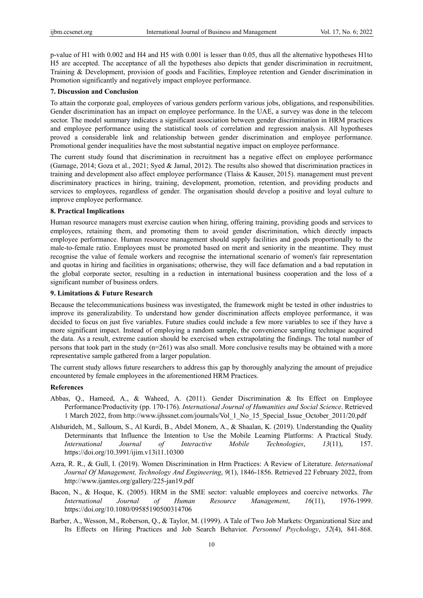p-value of H1 with 0.002 and H4 and H5 with 0.001 is lesser than 0.05, thus all the alternative hypotheses H1to H5 are accepted. The acceptance of all the hypotheses also depicts that gender discrimination in recruitment, Training & Development, provision of goods and Facilities, Employee retention and Gender discrimination in Promotion significantly and negatively impact employee performance.

#### **7. Discussion and Conclusion**

To attain the corporate goal, employees of various genders perform various jobs, obligations, and responsibilities. Gender discrimination has an impact on employee performance. In the UAE, a survey was done in the telecom sector. The model summary indicates a significant association between gender discrimination in HRM practices and employee performance using the statistical tools of correlation and regression analysis. All hypotheses proved a considerable link and relationship between gender discrimination and employee performance. Promotional gender inequalities have the most substantial negative impact on employee performance.

The current study found that discrimination in recruitment has a negative effect on employee performance (Gamage, 2014; Goza et al., 2021; Syed & Jamal, 2012). The results also showed that discrimination practices in training and development also affect employee performance (Tlaiss & Kauser, 2015). management must prevent discriminatory practices in hiring, training, development, promotion, retention, and providing products and services to employees, regardless of gender. The organisation should develop a positive and loyal culture to improve employee performance.

#### **8. Practical Implications**

Human resource managers must exercise caution when hiring, offering training, providing goods and services to employees, retaining them, and promoting them to avoid gender discrimination, which directly impacts employee performance. Human resource management should supply facilities and goods proportionally to the male-to-female ratio. Employees must be promoted based on merit and seniority in the meantime. They must recognise the value of female workers and recognise the international scenario of women's fair representation and quotas in hiring and facilities in organisations; otherwise, they will face defamation and a bad reputation in the global corporate sector, resulting in a reduction in international business cooperation and the loss of a significant number of business orders.

# **9. Limitations & Future Research**

Because the telecommunications business was investigated, the framework might be tested in other industries to improve its generalizability. To understand how gender discrimination affects employee performance, it was decided to focus on just five variables. Future studies could include a few more variables to see if they have a more significant impact. Instead of employing a random sample, the convenience sampling technique acquired the data. As a result, extreme caution should be exercised when extrapolating the findings. The total number of persons that took part in the study (n=261) was also small. More conclusive results may be obtained with a more representative sample gathered from a larger population.

The current study allows future researchers to address this gap by thoroughly analyzing the amount of prejudice encountered by female employees in the aforementioned HRM Practices.

# **References**

- Abbas, Q., Hameed, A., & Waheed, A. (2011). Gender Discrimination & Its Effect on Employee Performance/Productivity (pp. 170-176). *International Journal of Humanities and Social Science*. Retrieved 1 March 2022, from http://www.ijhssnet.com/journals/Vol\_1\_No\_15\_Special\_Issue\_October\_2011/20.pdf
- Alshurideh, M., Salloum, S., Al Kurdi, B., Abdel Monem, A., & Shaalan, K. (2019). Understanding the Quality Determinants that Influence the Intention to Use the Mobile Learning Platforms: A Practical Study. *International Journal of Interactive Mobile Technologies*, *13*(11), 157. https://doi.org/10.3991/ijim.v13i11.10300
- Azra, R. R., & Gull, I. (2019). Women Discrimination in Hrm Practices: A Review of Literature. *International Journal Of Management, Technology And Engineering*, *9*(1), 1846-1856. Retrieved 22 February 2022, from http://www.ijamtes.org/gallery/225-jan19.pdf
- Bacon, N., & Hoque, K. (2005). HRM in the SME sector: valuable employees and coercive networks. *The International Journal of Human Resource Management*, *16*(11), 1976-1999. https://doi.org/10.1080/09585190500314706
- Barber, A., Wesson, M., Roberson, Q., & Taylor, M. (1999). A Tale of Two Job Markets: Organizational Size and Its Effects on Hiring Practices and Job Search Behavior. *Personnel Psychology*, *52*(4), 841-868.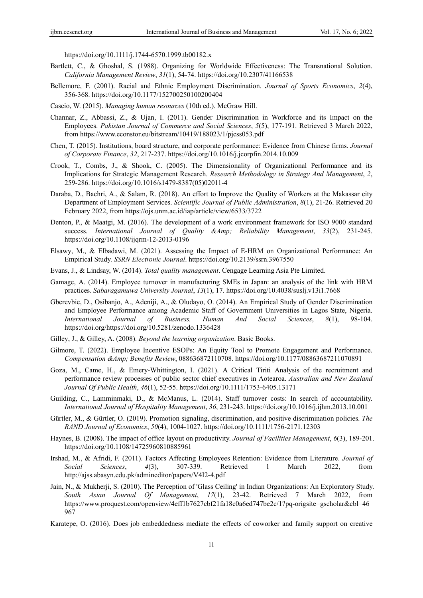https://doi.org/10.1111/j.1744-6570.1999.tb00182.x

- Bartlett, C., & Ghoshal, S. (1988). Organizing for Worldwide Effectiveness: The Transnational Solution. *California Management Review*, *31*(1), 54-74. https://doi.org/10.2307/41166538
- Bellemore, F. (2001). Racial and Ethnic Employment Discrimination. *Journal of Sports Economics*, *2*(4), 356-368. https://doi.org/10.1177/152700250100200404
- Cascio, W. (2015). *Managing human resources* (10th ed.). McGraw Hill.
- Channar, Z., Abbassi, Z., & Ujan, I. (2011). Gender Discrimination in Workforce and its Impact on the Employees. *Pakistan Journal of Commerce and Social Sciences*, *5*(5), 177-191. Retrieved 3 March 2022, from https://www.econstor.eu/bitstream/10419/188023/1/pjcss053.pdf
- Chen, T. (2015). Institutions, board structure, and corporate performance: Evidence from Chinese firms. *Journal of Corporate Finance*, *32*, 217-237. https://doi.org/10.1016/j.jcorpfin.2014.10.009
- Crook, T., Combs, J., & Shook, C. (2005). The Dimensionality of Organizational Performance and its Implications for Strategic Management Research. *Research Methodology in Strategy And Management*, *2*, 259-286. https://doi.org/10.1016/s1479-8387(05)02011-4
- Daraba, D., Bachri, A., & Salam, R. (2018). An effort to Improve the Quality of Workers at the Makassar city Department of Employment Services. *Scientific Journal of Public Administration*, *8*(1), 21-26. Retrieved 20 February 2022, from https://ojs.unm.ac.id/iap/article/view/6533/3722
- Denton, P., & Maatgi, M. (2016). The development of a work environment framework for ISO 9000 standard success. *International Journal of Quality &Amp; Reliability Management*, *33*(2), 231-245. https://doi.org/10.1108/ijqrm-12-2013-0196
- Elsawy, M., & Elbadawi, M. (2021). Assessing the Impact of E-HRM on Organizational Performance: An Empirical Study. *SSRN Electronic Journal*. https://doi.org/10.2139/ssrn.3967550
- Evans, J., & Lindsay, W. (2014). *Total quality management*. Cengage Learning Asia Pte Limited.
- Gamage, A. (2014). Employee turnover in manufacturing SMEs in Japan: an analysis of the link with HRM practices. *Sabaragamuwa University Journal*, *13*(1), 17. https://doi.org/10.4038/suslj.v13i1.7668
- Gberevbie, D., Osibanjo, A., Adeniji, A., & Oludayo, O. (2014). An Empirical Study of Gender Discrimination and Employee Performance among Academic Staff of Government Universities in Lagos State, Nigeria. *International Journal of Business, Human And Social Sciences*, *8*(1), 98-104. https://doi.org/https://doi.org/10.5281/zenodo.1336428
- Gilley, J., & Gilley, A. (2008). *Beyond the learning organization*. Basic Books.
- Gilmore, T. (2022). Employee Incentive ESOPs: An Equity Tool to Promote Engagement and Performance. *Compensation &Amp; Benefits Review*, 088636872110708. https://doi.org/10.1177/08863687211070891
- Goza, M., Came, H., & Emery‐Whittington, I. (2021). A Critical Tiriti Analysis of the recruitment and performance review processes of public sector chief executives in Aotearoa. *Australian and New Zealand Journal Of Public Health*, *46*(1), 52-55. https://doi.org/10.1111/1753-6405.13171
- Guilding, C., Lamminmaki, D., & McManus, L. (2014). Staff turnover costs: In search of accountability. *International Journal of Hospitality Management*, *36*, 231-243. https://doi.org/10.1016/j.ijhm.2013.10.001
- Gürtler, M., & Gürtler, O. (2019). Promotion signaling, discrimination, and positive discrimination policies. *The RAND Journal of Economics*, *50*(4), 1004-1027. https://doi.org/10.1111/1756-2171.12303
- Haynes, B. (2008). The impact of office layout on productivity. *Journal of Facilities Management*, *6*(3), 189-201. https://doi.org/10.1108/14725960810885961
- Irshad, M., & Afridi, F. (2011). Factors Affecting Employees Retention: Evidence from Literature. *Journal of Social Sciences*, *4*(3), 307-339. Retrieved 1 March 2022, from http://ajss.abasyn.edu.pk/admineditor/papers/V4I2-4.pdf
- Jain, N., & Mukherji, S. (2010). The Perception of 'Glass Ceiling' in Indian Organizations: An Exploratory Study. *South Asian Journal Of Management*, *17*(1), 23-42. Retrieved 7 March 2022, from https://www.proquest.com/openview/4eff1b7627cbf21fa18c0a6ed747be2c/1?pq-origsite=gscholar&cbl=46 967
- Karatepe, O. (2016). Does job embeddedness mediate the effects of coworker and family support on creative